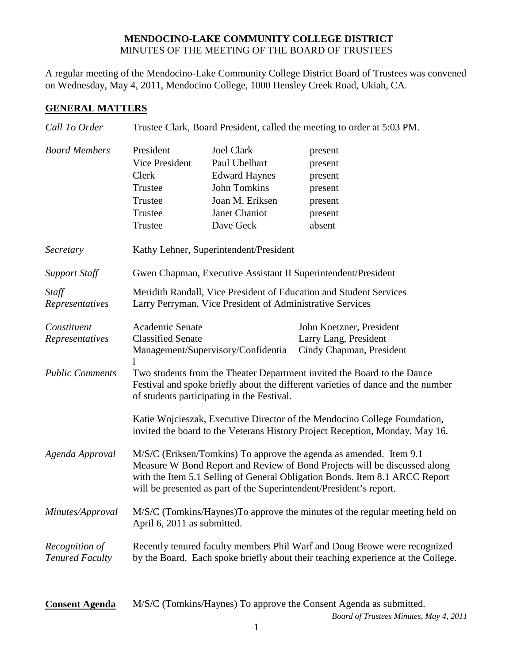## **MENDOCINO-LAKE COMMUNITY COLLEGE DISTRICT** MINUTES OF THE MEETING OF THE BOARD OF TRUSTEES

A regular meeting of the Mendocino-Lake Community College District Board of Trustees was convened on Wednesday, May 4, 2011, Mendocino College, 1000 Hensley Creek Road, Ukiah, CA.

## **GENERAL MATTERS**

| Call To Order                            | Trustee Clark, Board President, called the meeting to order at 5:03 PM.                                                                                                                                                                                                                                                                                                |                                                                                                                                    |                                                                               |  |  |
|------------------------------------------|------------------------------------------------------------------------------------------------------------------------------------------------------------------------------------------------------------------------------------------------------------------------------------------------------------------------------------------------------------------------|------------------------------------------------------------------------------------------------------------------------------------|-------------------------------------------------------------------------------|--|--|
| <b>Board Members</b>                     | President<br><b>Vice President</b><br>Clerk<br>Trustee<br>Trustee<br>Trustee<br>Trustee                                                                                                                                                                                                                                                                                | <b>Joel Clark</b><br>Paul Ubelhart<br><b>Edward Haynes</b><br><b>John Tomkins</b><br>Joan M. Eriksen<br>Janet Chaniot<br>Dave Geck | present<br>present<br>present<br>present<br>present<br>present<br>absent      |  |  |
| Secretary                                | Kathy Lehner, Superintendent/President                                                                                                                                                                                                                                                                                                                                 |                                                                                                                                    |                                                                               |  |  |
| <b>Support Staff</b>                     | Gwen Chapman, Executive Assistant II Superintendent/President                                                                                                                                                                                                                                                                                                          |                                                                                                                                    |                                                                               |  |  |
| Staff<br>Representatives                 | Meridith Randall, Vice President of Education and Student Services<br>Larry Perryman, Vice President of Administrative Services                                                                                                                                                                                                                                        |                                                                                                                                    |                                                                               |  |  |
| Constituent<br>Representatives           | Academic Senate<br><b>Classified Senate</b><br>Management/Supervisory/Confidentia                                                                                                                                                                                                                                                                                      |                                                                                                                                    | John Koetzner, President<br>Larry Lang, President<br>Cindy Chapman, President |  |  |
| <b>Public Comments</b>                   | Two students from the Theater Department invited the Board to the Dance<br>Festival and spoke briefly about the different varieties of dance and the number<br>of students participating in the Festival.<br>Katie Wojcieszak, Executive Director of the Mendocino College Foundation,<br>invited the board to the Veterans History Project Reception, Monday, May 16. |                                                                                                                                    |                                                                               |  |  |
| Agenda Approval                          | M/S/C (Eriksen/Tomkins) To approve the agenda as amended. Item 9.1<br>Measure W Bond Report and Review of Bond Projects will be discussed along<br>with the Item 5.1 Selling of General Obligation Bonds. Item 8.1 ARCC Report<br>will be presented as part of the Superintendent/President's report.                                                                  |                                                                                                                                    |                                                                               |  |  |
| Minutes/Approval                         | M/S/C (Tomkins/Haynes) To approve the minutes of the regular meeting held on<br>April 6, 2011 as submitted.                                                                                                                                                                                                                                                            |                                                                                                                                    |                                                                               |  |  |
| Recognition of<br><b>Tenured Faculty</b> | Recently tenured faculty members Phil Warf and Doug Browe were recognized<br>by the Board. Each spoke briefly about their teaching experience at the College.                                                                                                                                                                                                          |                                                                                                                                    |                                                                               |  |  |
| <b>Consent Agenda</b>                    |                                                                                                                                                                                                                                                                                                                                                                        |                                                                                                                                    | M/S/C (Tomkins/Haynes) To approve the Consent Agenda as submitted.            |  |  |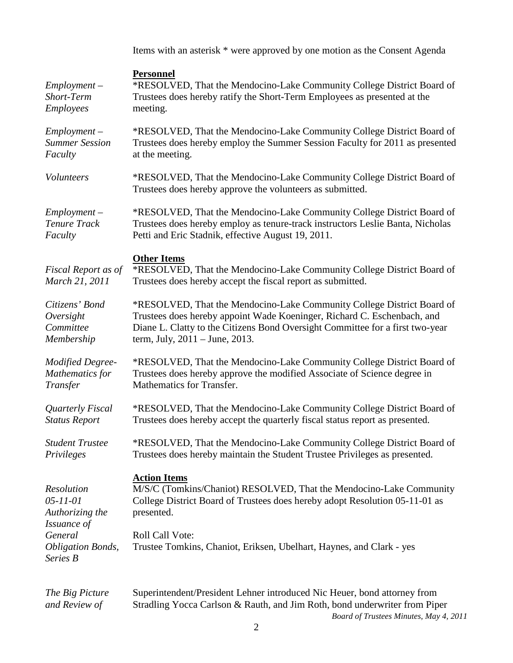Items with an asterisk \* were approved by one motion as the Consent Agenda

| $Employment -$<br>Short-Term<br>Employees | <b>Personnel</b><br>*RESOLVED, That the Mendocino-Lake Community College District Board of<br>Trustees does hereby ratify the Short-Term Employees as presented at the<br>meeting. |
|-------------------------------------------|------------------------------------------------------------------------------------------------------------------------------------------------------------------------------------|
| $Employment -$                            | *RESOLVED, That the Mendocino-Lake Community College District Board of                                                                                                             |
| <b>Summer Session</b>                     | Trustees does hereby employ the Summer Session Faculty for 2011 as presented                                                                                                       |
| Faculty                                   | at the meeting.                                                                                                                                                                    |
| Volunteers                                | *RESOLVED, That the Mendocino-Lake Community College District Board of<br>Trustees does hereby approve the volunteers as submitted.                                                |
| $Employment -$                            | *RESOLVED, That the Mendocino-Lake Community College District Board of                                                                                                             |
| <b>Tenure Track</b>                       | Trustees does hereby employ as tenure-track instructors Leslie Banta, Nicholas                                                                                                     |
| Faculty                                   | Petti and Eric Stadnik, effective August 19, 2011.                                                                                                                                 |
| Fiscal Report as of<br>March 21, 2011     | <b>Other Items</b><br>*RESOLVED, That the Mendocino-Lake Community College District Board of<br>Trustees does hereby accept the fiscal report as submitted.                        |
| Citizens' Bond                            | *RESOLVED, That the Mendocino-Lake Community College District Board of                                                                                                             |
| Oversight                                 | Trustees does hereby appoint Wade Koeninger, Richard C. Eschenbach, and                                                                                                            |
| Committee                                 | Diane L. Clatty to the Citizens Bond Oversight Committee for a first two-year                                                                                                      |
| Membership                                | term, July, $2011 -$ June, $2013$ .                                                                                                                                                |
| <b>Modified Degree-</b>                   | *RESOLVED, That the Mendocino-Lake Community College District Board of                                                                                                             |
| Mathematics for                           | Trustees does hereby approve the modified Associate of Science degree in                                                                                                           |
| Transfer                                  | Mathematics for Transfer.                                                                                                                                                          |
| Quarterly Fiscal                          | *RESOLVED, That the Mendocino-Lake Community College District Board of                                                                                                             |
| <b>Status Report</b>                      | Trustees does hereby accept the quarterly fiscal status report as presented.                                                                                                       |
| <b>Student Trustee</b>                    | *RESOLVED, That the Mendocino-Lake Community College District Board of                                                                                                             |
| Privileges                                | Trustees does hereby maintain the Student Trustee Privileges as presented.                                                                                                         |
| Resolution                                | <b>Action Items</b>                                                                                                                                                                |
| $05 - 11 - 01$                            | M/S/C (Tomkins/Chaniot) RESOLVED, That the Mendocino-Lake Community                                                                                                                |
| Authorizing the                           | College District Board of Trustees does hereby adopt Resolution 05-11-01 as                                                                                                        |
| Issuance of                               | presented.                                                                                                                                                                         |
| General                                   | Roll Call Vote:                                                                                                                                                                    |
| <b>Obligation Bonds,</b><br>Series B      | Trustee Tomkins, Chaniot, Eriksen, Ubelhart, Haynes, and Clark - yes                                                                                                               |
| The Big Picture                           | Superintendent/President Lehner introduced Nic Heuer, bond attorney from                                                                                                           |
| and Review of                             | Stradling Yocca Carlson & Rauth, and Jim Roth, bond underwriter from Piper                                                                                                         |

*Board of Trustees Minutes, May 4, 2011*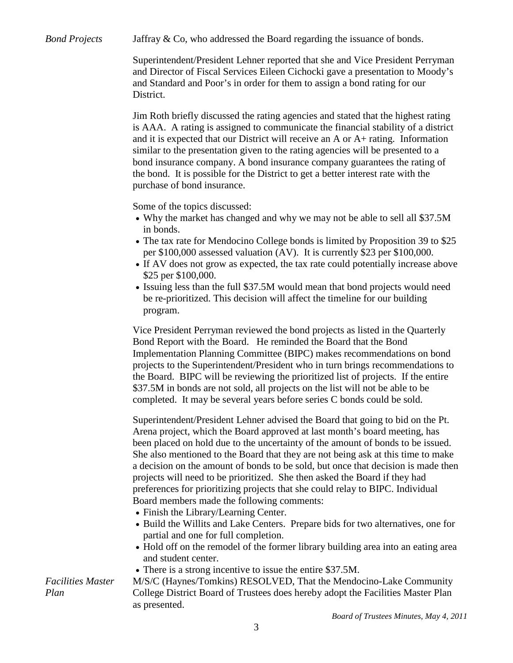*Bond Projects* Jaffray & Co, who addressed the Board regarding the issuance of bonds.

Superintendent/President Lehner reported that she and Vice President Perryman and Director of Fiscal Services Eileen Cichocki gave a presentation to Moody's and Standard and Poor's in order for them to assign a bond rating for our District.

Jim Roth briefly discussed the rating agencies and stated that the highest rating is AAA. A rating is assigned to communicate the financial stability of a district and it is expected that our District will receive an A or A+ rating. Information similar to the presentation given to the rating agencies will be presented to a bond insurance company. A bond insurance company guarantees the rating of the bond. It is possible for the District to get a better interest rate with the purchase of bond insurance.

Some of the topics discussed:

- Why the market has changed and why we may not be able to sell all \$37.5M in bonds.
- The tax rate for Mendocino College bonds is limited by Proposition 39 to \$25 per \$100,000 assessed valuation (AV). It is currently \$23 per \$100,000.
- If AV does not grow as expected, the tax rate could potentially increase above \$25 per \$100,000.
- Issuing less than the full \$37.5M would mean that bond projects would need be re-prioritized. This decision will affect the timeline for our building program.

Vice President Perryman reviewed the bond projects as listed in the Quarterly Bond Report with the Board. He reminded the Board that the Bond Implementation Planning Committee (BIPC) makes recommendations on bond projects to the Superintendent/President who in turn brings recommendations to the Board. BIPC will be reviewing the prioritized list of projects. If the entire \$37.5M in bonds are not sold, all projects on the list will not be able to be completed. It may be several years before series C bonds could be sold.

Superintendent/President Lehner advised the Board that going to bid on the Pt. Arena project, which the Board approved at last month's board meeting, has been placed on hold due to the uncertainty of the amount of bonds to be issued. She also mentioned to the Board that they are not being ask at this time to make a decision on the amount of bonds to be sold, but once that decision is made then projects will need to be prioritized. She then asked the Board if they had preferences for prioritizing projects that she could relay to BIPC. Individual Board members made the following comments:

- Finish the Library/Learning Center.
- Build the Willits and Lake Centers. Prepare bids for two alternatives, one for partial and one for full completion.
- Hold off on the remodel of the former library building area into an eating area and student center.
- There is a strong incentive to issue the entire \$37.5M.

M/S/C (Haynes/Tomkins) RESOLVED, That the Mendocino-Lake Community College District Board of Trustees does hereby adopt the Facilities Master Plan as presented.

*Facilities Master Plan*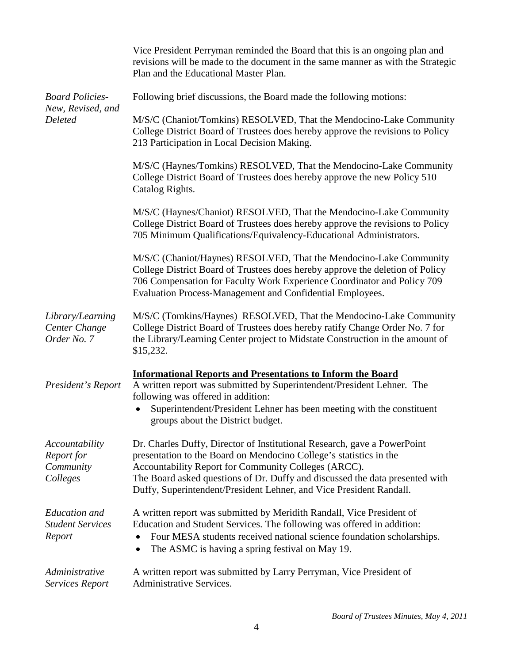|                                                               | Vice President Perryman reminded the Board that this is an ongoing plan and<br>revisions will be made to the document in the same manner as with the Strategic<br>Plan and the Educational Master Plan.                                                                                                                                                       |  |  |
|---------------------------------------------------------------|---------------------------------------------------------------------------------------------------------------------------------------------------------------------------------------------------------------------------------------------------------------------------------------------------------------------------------------------------------------|--|--|
| <b>Board Policies-</b><br>New, Revised, and<br><b>Deleted</b> | Following brief discussions, the Board made the following motions:                                                                                                                                                                                                                                                                                            |  |  |
|                                                               | M/S/C (Chaniot/Tomkins) RESOLVED, That the Mendocino-Lake Community<br>College District Board of Trustees does hereby approve the revisions to Policy<br>213 Participation in Local Decision Making.                                                                                                                                                          |  |  |
|                                                               | M/S/C (Haynes/Tomkins) RESOLVED, That the Mendocino-Lake Community<br>College District Board of Trustees does hereby approve the new Policy 510<br>Catalog Rights.                                                                                                                                                                                            |  |  |
|                                                               | M/S/C (Haynes/Chaniot) RESOLVED, That the Mendocino-Lake Community<br>College District Board of Trustees does hereby approve the revisions to Policy<br>705 Minimum Qualifications/Equivalency-Educational Administrators.                                                                                                                                    |  |  |
|                                                               | M/S/C (Chaniot/Haynes) RESOLVED, That the Mendocino-Lake Community<br>College District Board of Trustees does hereby approve the deletion of Policy<br>706 Compensation for Faculty Work Experience Coordinator and Policy 709<br>Evaluation Process-Management and Confidential Employees.                                                                   |  |  |
| Library/Learning<br>Center Change<br>Order No. 7              | M/S/C (Tomkins/Haynes) RESOLVED, That the Mendocino-Lake Community<br>College District Board of Trustees does hereby ratify Change Order No. 7 for<br>the Library/Learning Center project to Midstate Construction in the amount of<br>\$15,232.                                                                                                              |  |  |
| President's Report                                            | <b>Informational Reports and Presentations to Inform the Board</b><br>A written report was submitted by Superintendent/President Lehner. The<br>following was offered in addition:<br>Superintendent/President Lehner has been meeting with the constituent<br>groups about the District budget.                                                              |  |  |
| Accountability<br>Report for<br>Community<br>Colleges         | Dr. Charles Duffy, Director of Institutional Research, gave a PowerPoint<br>presentation to the Board on Mendocino College's statistics in the<br>Accountability Report for Community Colleges (ARCC).<br>The Board asked questions of Dr. Duffy and discussed the data presented with<br>Duffy, Superintendent/President Lehner, and Vice President Randall. |  |  |
| <b>Education</b> and<br><b>Student Services</b><br>Report     | A written report was submitted by Meridith Randall, Vice President of<br>Education and Student Services. The following was offered in addition:<br>Four MESA students received national science foundation scholarships.<br>The ASMC is having a spring festival on May 19.<br>$\bullet$                                                                      |  |  |
| Administrative<br><b>Services Report</b>                      | A written report was submitted by Larry Perryman, Vice President of<br>Administrative Services.                                                                                                                                                                                                                                                               |  |  |